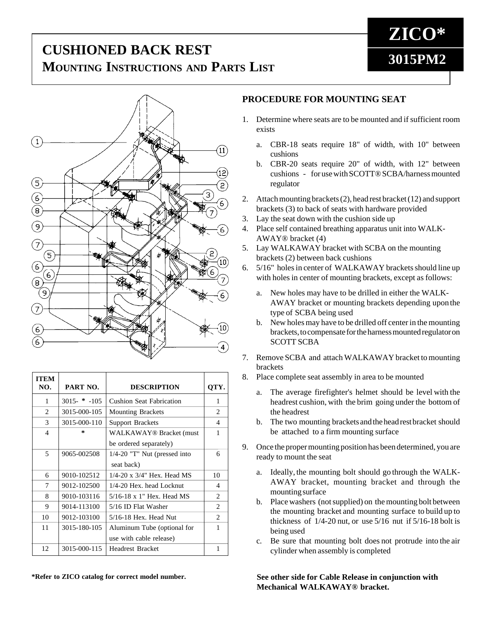## **3015PM2 CUSHIONED BACK REST MOUNTING INSTRUCTIONS AND PARTS LIST**



| <b>ITEM</b><br>NO. | PART NO.     | <b>DESCRIPTION</b>                   | OTY.                        |
|--------------------|--------------|--------------------------------------|-----------------------------|
| 1                  | $3015 - 105$ | <b>Cushion Seat Fabrication</b>      | 1                           |
| 2                  | 3015-000-105 | <b>Mounting Brackets</b>             | 2                           |
| 3                  | 3015-000-110 | <b>Support Brackets</b>              | 4                           |
| 4                  | 尖            | WALKAWAY® Bracket (must              | 1                           |
|                    |              | be ordered separately)               |                             |
| 5                  | 9065-002508  | $1/4-20$ "T" Nut (pressed into       | 6                           |
|                    |              | seat back)                           |                             |
| 6                  | 9010-102512  | $1/4 - 20 \times 3/4$ " Hex. Head MS | 10                          |
| 7                  | 9012-102500  | $1/4-20$ Hex. head Locknut           | 4                           |
| 8                  | 9010-103116  | 5/16-18 x 1" Hex. Head MS            | $\mathfrak{D}$              |
| 9                  | 9014-113100  | 5/16 ID Flat Washer                  | $\mathfrak{D}$              |
| 10                 | 9012-103100  | $5/16-18$ Hex. Head Nut              | $\mathcal{D}_{\mathcal{L}}$ |
| 11                 | 3015-180-105 | Aluminum Tube (optional for          |                             |
|                    |              | use with cable release)              |                             |
| 12                 | 3015-000-115 | <b>Headrest Bracket</b>              |                             |

**\*Refer to ZICO catalog for correct model number.**

## **PROCEDURE FOR MOUNTING SEAT**

- 1. Determine where seats are to be mounted and if sufficient room exists
	- a. CBR-18 seats require 18" of width, with 10" between cushions
	- b. CBR-20 seats require 20" of width, with 12" between cushions - for use with SCOTT® SCBA/harness mounted regulator
- 2. Attach mounting brackets (2), head rest bracket (12) and support brackets (3) to back of seats with hardware provided
- 3. Lay the seat down with the cushion side up
- 4. Place self contained breathing apparatus unit into WALK-AWAY® bracket (4)
- 5. Lay WALKAWAY bracket with SCBA on the mounting brackets (2) between back cushions
- 6. 5/16" holes in center of WALKAWAY brackets should line up with holes in center of mounting brackets, except as follows:
	- a. New holes may have to be drilled in either the WALK-AWAY bracket or mounting brackets depending upon the type of SCBA being used
	- b. New holes may have to be drilled off center in the mounting brackets, to compensate for the harness mounted regulator on SCOTT SCBA
- 7. Remove SCBA and attach WALKAWAY bracket to mounting brackets
- 8. Place complete seat assembly in area to be mounted
	- a. The average firefighter's helmet should be level with the headrest cushion, with the brim going under the bottom of the headrest
	- b. The two mounting brackets and the head rest bracket should be attached to a firm mounting surface
- 9. Once the proper mounting position has been determined, you are ready to mount the seat
	- a. Ideally, the mounting bolt should go through the WALK-AWAY bracket, mounting bracket and through the mounting surface
	- b. Place washers (not supplied) on the mounting bolt between the mounting bracket and mounting surface to build up to thickness of  $1/4-20$  nut, or use  $5/16$  nut if  $5/16-18$  bolt is being used
	- c. Be sure that mounting bolt does not protrude into the air cylinder when assembly is completed

**See other side for Cable Release in conjunction with Mechanical WALKAWAY® bracket.**